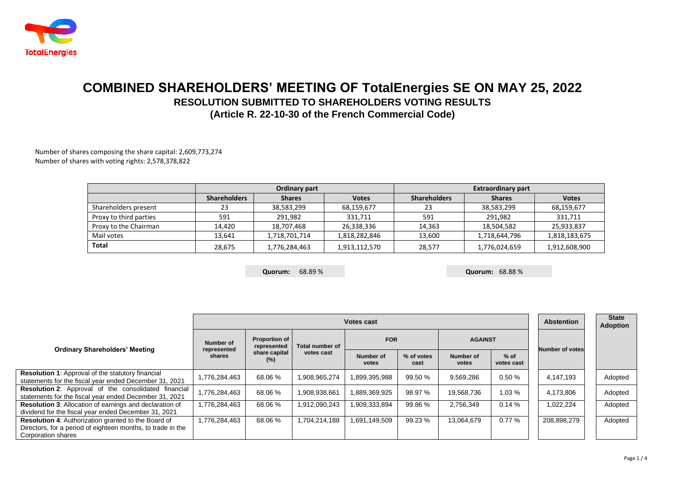

## **COMBINED SHAREHOLDERS' MEETING OF TotalEnergies SE ON MAY 25, 2022 RESOLUTION SUBMITTED TO SHAREHOLDERS VOTING RESULTS (Article R. 22-10-30 of the French Commercial Code)**

Number of shares composing the share capital: 2,609,773,274 Number of shares with voting rights: 2,578,378,822

|                        |                     | Ordinary part |               | <b>Extraordinary part</b> |               |               |  |  |  |
|------------------------|---------------------|---------------|---------------|---------------------------|---------------|---------------|--|--|--|
|                        | <b>Shareholders</b> | <b>Shares</b> | <b>Votes</b>  | <b>Shareholders</b>       | <b>Shares</b> | <b>Votes</b>  |  |  |  |
| Shareholders present   | 23                  | 38,583,299    | 68,159,677    | 23                        | 38,583,299    | 68,159,677    |  |  |  |
| Proxy to third parties | 591                 | 291.982       | 331,711       | 591                       | 291,982       | 331,711       |  |  |  |
| Proxy to the Chairman  | 14,420              | 18,707,468    | 26,338,336    | 14.363                    | 18,504,582    | 25,933,837    |  |  |  |
| Mail votes             | 13.641              | 1,718,701,714 | 1,818,282,846 | 13.600                    | 1,718,644,796 | 1,818,183,675 |  |  |  |
| Total                  | 28.675              | 1,776,284,463 | 1,913,112,570 | 28.577                    | 1,776,024,659 | 1,912,608,900 |  |  |  |

**Quorum:** 68.89 % **Quorum:** 68.88 %

|                                                                                                                                                 |                       | <b>Abstention</b>                                           | <b>State</b><br><b>Adoption</b> |                    |                    |                    |                      |                        |         |
|-------------------------------------------------------------------------------------------------------------------------------------------------|-----------------------|-------------------------------------------------------------|---------------------------------|--------------------|--------------------|--------------------|----------------------|------------------------|---------|
| <b>Ordinary Shareholders' Meeting</b>                                                                                                           | Number of             | <b>Proportion of</b><br>represented<br>share capital<br>(%) | Total number of<br>votes cast   | <b>FOR</b>         |                    | <b>AGAINST</b>     |                      | <b>Number of votes</b> |         |
|                                                                                                                                                 | represented<br>shares |                                                             |                                 | Number of<br>votes | % of votes<br>cast | Number of<br>votes | $%$ of<br>votes cast |                        |         |
| <b>Resolution 1:</b> Approval of the statutory financial<br>statements for the fiscal year ended December 31, 2021                              | 1,776,284,463         | 68.06 %                                                     | 1,908,965,274                   | 1,899,395,988      | 99.50 %            | 9,569,286          | 0.50%                | 4,147,193              | Adopted |
| <b>Resolution 2:</b> Approval of the consolidated financial<br>statements for the fiscal year ended December 31, 2021                           | 1,776,284,463         | 68.06%                                                      | 1,908,938,661                   | 1,889,369,925      | 98.97 %            | 19,568,736         | 1.03%                | 4,173,806              | Adopted |
| <b>Resolution 3: Allocation of earnings and declaration of</b><br>dividend for the fiscal year ended December 31, 2021                          | 1,776,284,463         | 68.06 %                                                     | 1,912,090,243                   | 1,909,333,894      | 99.86 %            | 2,756,349          | 0.14%                | 1.022.224              | Adopted |
| <b>Resolution 4:</b> Authorization granted to the Board of<br>Directors, for a period of eighteen months, to trade in the<br>Corporation shares | 1,776,284,463         | 68.06 %                                                     | 1.704.214.188                   | 1.691.149.509      | 99.23 %            | 13.064.679         | 0.77%                | 208.898.279            | Adopted |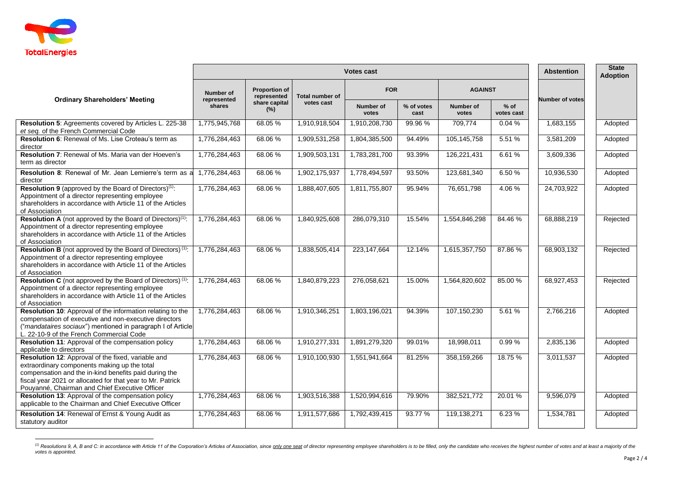

|                                                                                                                                                                                                                                                                             | <b>Votes cast</b>               |                                     |                                                |                    |                    |                    |                      |                        | <b>State</b><br><b>Adoption</b> |
|-----------------------------------------------------------------------------------------------------------------------------------------------------------------------------------------------------------------------------------------------------------------------------|---------------------------------|-------------------------------------|------------------------------------------------|--------------------|--------------------|--------------------|----------------------|------------------------|---------------------------------|
| <b>Ordinary Shareholders' Meeting</b>                                                                                                                                                                                                                                       | <b>Number of</b><br>represented | <b>Proportion of</b><br>represented | <b>Total number of</b><br>votes cast<br>$(\%)$ | <b>FOR</b>         |                    | <b>AGAINST</b>     |                      | <b>Number of votes</b> |                                 |
|                                                                                                                                                                                                                                                                             | shares                          | share capital                       |                                                | Number of<br>votes | % of votes<br>cast | Number of<br>votes | $%$ of<br>votes cast |                        |                                 |
| Resolution 5: Agreements covered by Articles L. 225-38<br>et seq. of the French Commercial Code                                                                                                                                                                             | 1,775,945,768                   | 68.05 %                             | 1,910,918,504                                  | 1,910,208,730      | 99.96 %            | 709,774            | 0.04%                | 1,683,155              | Adopted                         |
| Resolution 6: Renewal of Ms. Lise Croteau's term as<br>director                                                                                                                                                                                                             | 1,776,284,463                   | 68.06 %                             | 1,909,531,258                                  | 1,804,385,500      | 94.49%             | 105,145,758        | 5.51%                | 3,581,209              | Adopted                         |
| <b>Resolution 7: Renewal of Ms. Maria van der Hoeven's</b><br>term as director                                                                                                                                                                                              | 1,776,284,463                   | 68.06%                              | 1,909,503,131                                  | 1,783,281,700      | 93.39%             | 126,221,431        | 6.61%                | 3,609,336              | Adopted                         |
| Resolution 8: Renewal of Mr. Jean Lemierre's term as a<br>director                                                                                                                                                                                                          | 1,776,284,463                   | 68.06 %                             | 1,902,175,937                                  | 1,778,494,597      | 93.50%             | 123,681,340        | 6.50%                | 10,936,530             | Adopted                         |
| Resolution 9 (approved by the Board of Directors) <sup>(1)</sup> :<br>Appointment of a director representing employee<br>shareholders in accordance with Article 11 of the Articles<br>of Association                                                                       | 1,776,284,463                   | 68.06 %                             | 1,888,407,605                                  | 1,811,755,807      | 95.94%             | 76,651,798         | 4.06%                | 24,703,922             | Adopted                         |
| Resolution A (not approved by the Board of Directors) <sup>(1)</sup> :<br>Appointment of a director representing employee<br>shareholders in accordance with Article 11 of the Articles<br>of Association                                                                   | 1,776,284,463                   | 68.06%                              | 1,840,925,608                                  | 286,079,310        | 15.54%             | 1,554,846,298      | 84.46 %              | 68,888,219             | Rejected                        |
| Resolution B (not approved by the Board of Directors) <sup>(1)</sup> :<br>Appointment of a director representing employee<br>shareholders in accordance with Article 11 of the Articles<br>of Association                                                                   | 1,776,284,463                   | 68.06%                              | 1,838,505,414                                  | 223, 147, 664      | 12.14%             | 1,615,357,750      | 87.86%               | 68,903,132             | Rejected                        |
| Resolution C (not approved by the Board of Directors) (1):<br>Appointment of a director representing employee<br>shareholders in accordance with Article 11 of the Articles<br>of Association                                                                               | 1,776,284,463                   | 68.06 %                             | 1,840,879,223                                  | 276,058,621        | 15.00%             | 1,564,820,602      | 85.00 %              | 68,927,453             | Rejected                        |
| Resolution 10: Approval of the information relating to the<br>compensation of executive and non-executive directors<br>("mandataires sociaux") mentioned in paragraph I of Article<br>L. 22-10-9 of the French Commercial Code                                              | 1,776,284,463                   | 68.06 %                             | 1,910,346,251                                  | 1,803,196,021      | 94.39%             | 107,150,230        | 5.61%                | 2,766,216              | Adopted                         |
| Resolution 11: Approval of the compensation policy<br>applicable to directors                                                                                                                                                                                               | 1,776,284,463                   | 68.06 %                             | 1,910,277,331                                  | 1,891,279,320      | 99.01%             | 18,998,011         | 0.99%                | 2,835,136              | Adopted                         |
| Resolution 12: Approval of the fixed, variable and<br>extraordinary components making up the total<br>compensation and the in-kind benefits paid during the<br>fiscal year 2021 or allocated for that year to Mr. Patrick<br>Pouyanné, Chairman and Chief Executive Officer | 1.776.284.463                   | 68.06 %                             | 1,910,100,930                                  | 1.551.941.664      | 81.25%             | 358,159,266        | 18.75 %              | 3.011.537              | Adopted                         |
| Resolution 13: Approval of the compensation policy<br>applicable to the Chairman and Chief Executive Officer                                                                                                                                                                | 1,776,284,463                   | 68.06%                              | 1,903,516,388                                  | 1,520,994,616      | 79.90%             | 382,521,772        | 20.01%               | 9,596,079              | Adopted                         |
| Resolution 14: Renewal of Ernst & Young Audit as<br>statutory auditor                                                                                                                                                                                                       | 1,776,284,463                   | 68.06 %                             | 1,911,577,686                                  | 1,792,439,415      | 93.77 %            | 119,138,271        | 6.23%                | 1,534,781              | Adopted                         |

<sup>&</sup>lt;sup>(1)</sup> Resolutions 9, A, B and C: in accordance with Article 11 of the Corporation's Articles of Association, since <u>only one seat</u> of director representing employee shareholders is to be filled, only the candidate who rece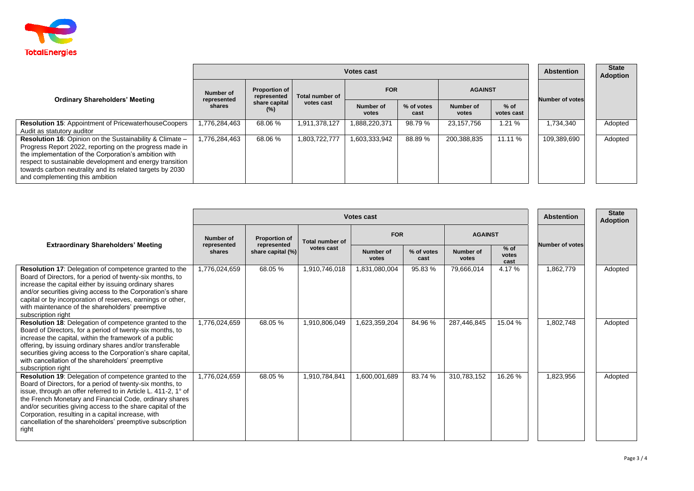

|                                                                                                                                                                                                                                                                                                                                          |                       | <b>Abstention</b>                                           | <b>State</b><br>Adoption      |                           |                    |                    |                      |                        |         |
|------------------------------------------------------------------------------------------------------------------------------------------------------------------------------------------------------------------------------------------------------------------------------------------------------------------------------------------|-----------------------|-------------------------------------------------------------|-------------------------------|---------------------------|--------------------|--------------------|----------------------|------------------------|---------|
|                                                                                                                                                                                                                                                                                                                                          | Number of             | <b>Proportion of</b><br>represented<br>share capital<br>(%) | Total number of<br>votes cast | <b>FOR</b>                |                    | <b>AGAINST</b>     |                      |                        |         |
| <b>Ordinary Shareholders' Meeting</b>                                                                                                                                                                                                                                                                                                    | represented<br>shares |                                                             |                               | <b>Number of</b><br>votes | % of votes<br>cast | Number of<br>votes | $%$ of<br>votes cast | <b>Number of votes</b> |         |
| <b>Resolution 15: Appointment of PricewaterhouseCoopers</b><br>Audit as statutory auditor                                                                                                                                                                                                                                                | 1,776,284,463         | 68.06%                                                      | 1,911,378,127                 | 888,220,371               | 98.79 %            | 23,157,756         | 1.21%                | 1,734,340              | Adopted |
| Resolution 16: Opinion on the Sustainability & Climate -<br>Progress Report 2022, reporting on the progress made in<br>the implementation of the Corporation's ambition with<br>respect to sustainable development and energy transition<br>towards carbon neutrality and its related targets by 2030<br>and complementing this ambition | 1,776,284,463         | 68.06%                                                      | 1.803.722.777                 | .603,333,942              | 88.89 %            | 200,388,835        | 11.11 %              | 109,389,690            | Adopted |

|                                                                                                                                                                                                                                                                                                                                                                                                                                                    | <b>Votes cast</b>                  |                                                          |                                      |                    |                    |                    |                         | <b>Abstention</b>      | <b>State</b><br><b>Adoption</b> |
|----------------------------------------------------------------------------------------------------------------------------------------------------------------------------------------------------------------------------------------------------------------------------------------------------------------------------------------------------------------------------------------------------------------------------------------------------|------------------------------------|----------------------------------------------------------|--------------------------------------|--------------------|--------------------|--------------------|-------------------------|------------------------|---------------------------------|
| <b>Extraordinary Shareholders' Meeting</b>                                                                                                                                                                                                                                                                                                                                                                                                         | Number of<br>represented<br>shares | <b>Proportion of</b><br>represented<br>share capital (%) | <b>Total number of</b><br>votes cast | <b>FOR</b>         |                    | <b>AGAINST</b>     |                         |                        |                                 |
|                                                                                                                                                                                                                                                                                                                                                                                                                                                    |                                    |                                                          |                                      | Number of<br>votes | % of votes<br>cast | Number of<br>votes | $%$ of<br>votes<br>cast | <b>Number of votes</b> |                                 |
| Resolution 17: Delegation of competence granted to the<br>Board of Directors, for a period of twenty-six months, to<br>increase the capital either by issuing ordinary shares<br>and/or securities giving access to the Corporation's share<br>capital or by incorporation of reserves, earnings or other,<br>with maintenance of the shareholders' preemptive<br>subscription right                                                               | 1,776,024,659                      | 68.05 %                                                  | 1,910,746,018                        | 1,831,080,004      | 95.83 %            | 79,666,014         | 4.17%                   | 1,862,779              | Adopted                         |
| <b>Resolution 18:</b> Delegation of competence granted to the<br>Board of Directors, for a period of twenty-six months, to<br>increase the capital, within the framework of a public<br>offering, by issuing ordinary shares and/or transferable<br>securities giving access to the Corporation's share capital,<br>with cancellation of the shareholders' preemptive<br>subscription right                                                        | 1,776,024,659                      | 68.05 %                                                  | 1,910,806,049                        | 1,623,359,204      | 84.96 %            | 287,446,845        | 15.04 %                 | 1,802,748              | Adopted                         |
| <b>Resolution 19:</b> Delegation of competence granted to the<br>Board of Directors, for a period of twenty-six months, to<br>issue, through an offer referred to in Article L. 411-2, 1° of<br>the French Monetary and Financial Code, ordinary shares<br>and/or securities giving access to the share capital of the<br>Corporation, resulting in a capital increase, with<br>cancellation of the shareholders' preemptive subscription<br>right | 1,776,024,659                      | 68.05 %                                                  | 1,910,784,841                        | 1,600,001,689      | 83.74 %            | 310,783,152        | 16.26 %                 | 1,823,956              | Adopted                         |